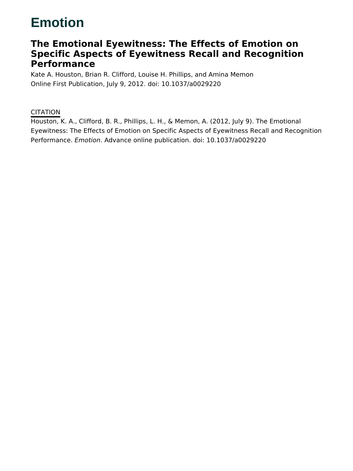# **Emotion**

## **The Emotional Eyewitness: The Effects of Emotion on Specific Aspects of Eyewitness Recall and Recognition Performance**

Kate A. Houston, Brian R. Clifford, Louise H. Phillips, and Amina Memon Online First Publication, July 9, 2012. doi: 10.1037/a0029220

### **CITATION**

Houston, K. A., Clifford, B. R., Phillips, L. H., & Memon, A. (2012, July 9). The Emotional Eyewitness: The Effects of Emotion on Specific Aspects of Eyewitness Recall and Recognition Performance. Emotion. Advance online publication. doi: 10.1037/a0029220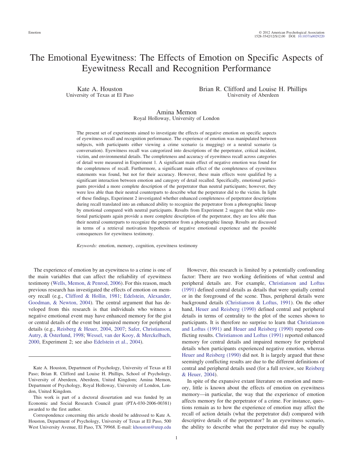### The Emotional Eyewitness: The Effects of Emotion on Specific Aspects of Eyewitness Recall and Recognition Performance

Kate A. Houston University of Texas at El Paso Brian R. Clifford and Louise H. Phillips University of Aberdeen

Amina Memon Royal Holloway, University of London

The present set of experiments aimed to investigate the effects of negative emotion on specific aspects of eyewitness recall and recognition performance. The experience of emotion was manipulated between subjects, with participants either viewing a crime scenario (a mugging) or a neutral scenario (a conversation). Eyewitness recall was categorized into descriptions of the perpetrator, critical incident, victim, and environmental details. The completeness and accuracy of eyewitness recall across categories of detail were measured in Experiment 1. A significant main effect of negative emotion was found for the completeness of recall. Furthermore, a significant main effect of the completeness of eyewitness statements was found, but not for their accuracy. However, these main effects were qualified by a significant interaction between emotion and category of detail recalled. Specifically, emotional participants provided a more complete description of the perpetrator than neutral participants; however, they were less able than their neutral counterparts to describe what the perpetrator did to the victim. In light of these findings, Experiment 2 investigated whether enhanced completeness of perpetrator descriptions during recall translated into an enhanced ability to recognize the perpetrator from a photographic lineup by emotional compared with neutral participants. Results from Experiment 2 suggest that while emotional participants again provide a more complete description of the perpetrator, they are less able than their neutral counterparts to recognize the perpetrator from a photographic lineup. Results are discussed in terms of a retrieval motivation hypothesis of negative emotional experience and the possible consequences for eyewitness testimony.

*Keywords:* emotion, memory, cognition, eyewitness testimony

The experience of emotion by an eyewitness to a crime is one of the main variables that can affect the reliability of eyewitness testimony (Wells, Memon, & Penrod, 2006). For this reason, much previous research has investigated the effects of emotion on memory recall (e.g., Clifford & Hollin, 1981; Edelstein, Alexander, Goodman, & Newton, 2004). The central argument that has developed from this research is that individuals who witness a negative emotional event may have enhanced memory for the gist or central details of the event but impaired memory for peripheral details (e.g., Reisberg & Heuer, 2004, 2007; Safer, Christianson, Autry, & Österlund, 1998; Wessel, van der Kooy, & Merckelbach, 2000, Experiment 2; see also Edelstein et al., 2004).

However, this research is limited by a potentially confounding factor: There are two working definitions of what central and peripheral details are. For example, Christianson and Loftus (1991) defined central details as details that were spatially central or in the foreground of the scene. Thus, peripheral details were background details (Christianson & Loftus, 1991). On the other hand, Heuer and Reisberg (1990) defined central and peripheral details in terms of centrality to the plot of the scenes shown to participants. It is therefore no surprise to learn that Christianson and Loftus (1991) and Heuer and Reisberg (1990) reported conflicting results. Christianson and Loftus (1991) reported enhanced memory for central details and impaired memory for peripheral details when participants experienced negative emotion, whereas Heuer and Reisberg (1990) did not. It is largely argued that these seemingly conflicting results are due to the different definitions of central and peripheral details used (for a full review, see Reisberg & Heuer, 2004).

In spite of the expansive extant literature on emotion and memory, little is known about the effects of emotion on eyewitness memory—in particular, the way that the experience of emotion affects memory for the perpetrator of a crime. For instance, questions remain as to how the experience of emotion may affect the recall of action details (what the perpetrator did) compared with descriptive details of the perpetrator? In an eyewitness scenario, the ability to describe what the perpetrator did may be equally

Kate A. Houston, Department of Psychology, University of Texas at El Paso; Brian R. Clifford and Louise H. Phillips, School of Psychology, University of Aberdeen, Aberdeen, United Kingdom; Amina Memon, Department of Psychology, Royal Holloway, University of London, London, United Kingdom.

This work is part of a doctoral dissertation and was funded by an Economic and Social Research Council grant (PTA-030-2006-00381) awarded to the first author.

Correspondence concerning this article should be addressed to Kate A. Houston, Department of Psychology, University of Texas at El Paso, 500 West University Avenue, El Paso, TX 79968. E-mail: khouston@utep.edu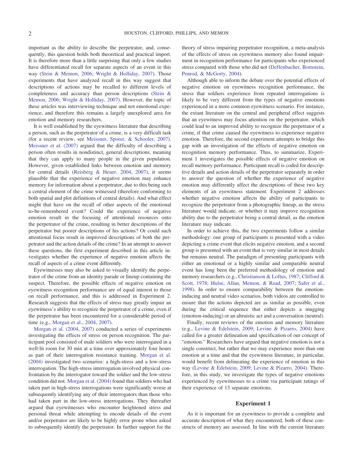important as the ability to describe the perpetrator, and, consequently, this question holds both theoretical and practical import. It is therefore more than a little surprising that only a few studies have differentiated recall for separate aspects of an event in this way (Stein & Memon, 2006; Wright & Holliday, 2007). Those experiments that have analyzed recall in this way suggest that descriptions of actions may be recalled to different levels of completeness and accuracy than person descriptions (Stein & Memon, 2006; Wright & Holliday, 2007). However, the topic of these articles was interviewing technique and not emotional experience, and therefore this remains a largely unexplored area for emotion and memory researchers.

It is well established by the eyewitness literature that describing a person, such as the perpetrator of a crime, is a very difficult task (for a recent review, see Meissner, Sporer, & Schooler, 2007). Meissner et al. (2007) argued that the difficulty of describing a person often results in nondistinct, general descriptions, meaning that they can apply to many people in the given population. However, given established links between emotion and memory for central details (Reisberg & Heuer, 2004, 2007), it seems plausible that the experience of negative emotion may enhance memory for information about a perpetrator, due to this being such a central element of the crime witnessed (therefore conforming to both spatial and plot definitions of central details). And what effect might that have on the recall of other aspects of the emotional to-be-remembered event? Could the experience of negative emotion result in the focusing of attentional resources onto the perpetrator of the crime, resulting in better descriptions of the perpetrator but poorer descriptions of his actions? Or could such attentional focus result in improved descriptions of both the perpetrator and the action details of the crime? In an attempt to answer these questions, the first experiment described in this article investigates whether the experience of negative emotion affects the recall of aspects of a crime event differently.

Eyewitnesses may also be asked to visually identify the perpetrator of the crime from an identity parade or lineup containing the suspect. Therefore, the possible effects of negative emotion on eyewitness recognition performance are of equal interest to those on recall performance, and this is addressed in Experiment 2. Research suggests that the effects of stress may greatly impair an eyewitness's ability to recognize the perpetrator of a crime, even if the perpetrator has been encountered for a considerable period of time (e.g., Morgan et al., 2004, 2007).

Morgan et al. (2004, 2007) conducted a series of experiments investigating the effects of stress on person recognition. The participant pool consisted of male soldiers who were interrogated in a well-lit room for 30 min at a time over approximately four hours as part of their interrogation resistance training. Morgan et al. (2004) investigated two scenarios: a high-stress and a low-stress interrogation. The high-stress interrogation involved physical confrontation by the interrogator toward the soldier and the low-stress condition did not. Morgan et al. (2004) found that soldiers who had taken part in high-stress interrogations were significantly worse at subsequently identifying any of their interrogators than those who had taken part in the low-stress interrogations. They thereafter argued that eyewitnesses who encounter heightened stress and personal threat while attempting to encode details of the event and/or perpetrator are likely to be highly error prone when asked to subsequently identify the perpetrator. In further support for the theory of stress impairing perpetrator recognition, a meta-analysis of the effects of stress on eyewitness memory also found impairment in recognition performance for participants who experienced stress compared with those who did not (Deffenbacher, Bornstein, Penrod, & McGorty, 2004).

Although able to inform the debate over the potential effects of negative emotion on eyewitness recognition performance, the stress that soldiers experience from repeated interrogations is likely to be very different from the types of negative emotions experienced in a more common eyewitness scenario. For instance, the extant literature on the central and peripheral effect suggests that an eyewitness may focus attention on the perpetrator, which could lead to an improved ability to recognize the perpetrator of a crime, if that crime caused the eyewitness to experience negative emotion. Therefore, the second experiment attempts to bridge this gap with an investigation of the effects of negative emotion on recognition memory performance. Thus, to summarize, Experiment 1 investigates the possible effects of negative emotion on recall memory performance. Participant recall is coded for descriptive details and action details of the perpetrator separately in order to answer the question of whether the experience of negative emotion may differently affect the descriptions of these two key elements of an eyewitness statement. Experiment 2 addresses whether negative emotion affects the ability of participants to recognize the perpetrator from a photographic lineup, as the stress literature would indicate, or whether it may improve recognition ability due to the perpetrator being a central detail, as the emotion literature may indicate.

In order to achieve this, the two experiments follow a similar methodology: one group of participants is presented with a video depicting a crime event that elicits negative emotion, and a second group is presented with an event that is very similar in most details but remains neutral. The paradigm of presenting participants with either an emotional or a highly similar and comparable neutral event has long been the preferred methodology of emotion and memory researchers (e.g., Christianson & Loftus, 1987; Clifford & Scott, 1978; Hulse, Allan, Memon, & Read, 2007; Safer et al., 1998). In order to ensure comparability between the emotioninducing and neutral video scenarios, both videos are controlled to ensure that the actions depicted are as similar as possible, even during the critical sequence that either depicts a mugging (emotion-inducing) or an altruistic act and a conversation (neutral).

Finally, recent reviews of the emotion and memory literature (e.g., Levine & Edelstein, 2009; Levine & Pizarro, 2004) have called for a greater delineation and specification of our concept of "emotion." Researchers have argued that negative emotion is not a single construct, but rather that we may experience more than one emotion at a time and that the eyewitness literature, in particular, would benefit from delineating the experience of emotion in this way (Levine & Edelstein, 2009; Levine & Pizarro, 2004). Therefore, in this study, we investigate the types of negative emotions experienced by eyewitnesses to a crime via participant ratings of their experience of 13 separate emotions.

#### **Experiment 1**

As it is important for an eyewitness to provide a complete and accurate description of what they encountered, both of these constructs of memory are assessed. In line with the current literature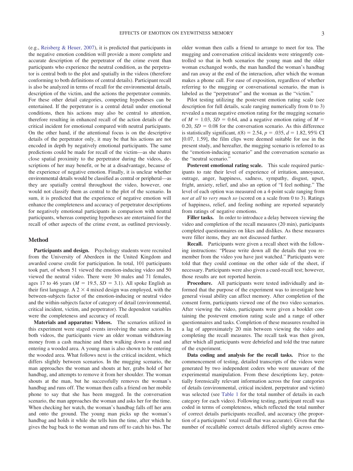(e.g., Reisberg & Heuer, 2007), it is predicted that participants in the negative emotion condition will provide a more complete and accurate description of the perpetrator of the crime event than participants who experience the neutral condition, as the perpetrator is central both to the plot and spatially in the videos (therefore conforming to both definitions of central details). Participant recall is also be analyzed in terms of recall for the environmental details, description of the victim, and the actions the perpetrator commits. For these other detail categories, competing hypotheses can be entertained. If the perpetrator is a central detail under emotional conditions, then his actions may also be central to attention, therefore resulting in enhanced recall of the action details of the critical incident for emotional compared with neutral participants. On the other hand, if the attentional focus is on the descriptive details of the perpetrator only, it may be that his actions are not encoded in depth by negatively emotional participants. The same predictions could be made for recall of the victim—as she shares close spatial proximity to the perpetrator during the videos, descriptions of her may benefit, or be at a disadvantage, because of the experience of negative emotion. Finally, it is unclear whether environmental details would be classified as central or peripheral—as they are spatially central throughout the video, however, one would not classify them as central to the plot of the scenario. In sum, it is predicted that the experience of negative emotion will enhance the completeness and accuracy of perpetrator descriptions for negatively emotional participants in comparison with neutral participants, whereas competing hypotheses are entertained for the recall of other aspects of the crime event, as outlined previously.

#### **Method**

Participants and design. Psychology students were recruited from the University of Aberdeen in the United Kingdom and awarded course credit for participation. In total, 101 participants took part, of whom 51 viewed the emotion-inducing video and 50 viewed the neutral video. There were 30 males and 71 females, ages 17 to 46 years ( $M = 19.5$ ,  $SD = 3.1$ ). All spoke English as their first language. A  $2 \times 4$  mixed design was employed, with the between-subjects factor of the emotion-inducing or neutral video and the within-subjects factor of category of detail (environmental, critical incident, victim, and perpetrator). The dependent variables were the completeness and accuracy of recall.

**Materials and apparatus: Videos.** The scenarios utilized in this experiment were staged events involving the same actors. In both videos, the participants view an older woman withdrawing money from a cash machine and then walking down a road and entering a wooded area. A young man is also shown to be entering the wooded area. What follows next is the critical incident, which differs slightly between scenarios. In the mugging scenario, the man approaches the woman and shouts at her, grabs hold of her handbag, and attempts to remove it from her shoulder. The woman shouts at the man, but he successfully removes the woman's handbag and runs off. The woman then calls a friend on her mobile phone to say that she has been mugged. In the conversation scenario, the man approaches the woman and asks her for the time. When checking her watch, the woman's handbag falls off her arm and onto the ground. The young man picks up the woman's handbag and holds it while she tells him the time, after which he gives the bag back to the woman and runs off to catch his bus. The

older woman then calls a friend to arrange to meet for tea. The mugging and conversation critical incidents were stringently controlled so that in both scenarios the young man and the older woman exchanged words, the man handled the woman's handbag and ran away at the end of the interaction, after which the woman makes a phone call. For ease of exposition, regardless of whether referring to the mugging or conversational scenario, the man is labeled as the "perpetrator" and the woman as the "victim."

Pilot testing utilizing the postevent emotion rating scale (see description for full details, scale ranging numerically from 0 to 3) revealed a mean negative emotion rating for the mugging scenario of  $M = 1.03$ ,  $SD = 0.64$ , and a negative emotion rating of  $M =$ 0.20,  $SD = 0.08$  for the conversation scenario. As this difference is statistically significant,  $t(8) = 2.54$ ,  $p = .035$ ,  $d = 1.82$ , 95% CI [0.07, 1.59], the film clips were deemed suitable for use in the present study, and hereafter, the mugging scenario is referred to as the "emotion-inducing scenario" and the conversation scenario as the "neutral scenario."

**Postevent emotional rating scale.** This scale required participants to rate their level of experience of irritation, annoyance, outrage, anger, happiness, sadness, sympathy, disgust, upset, fright, anxiety, relief, and also an option of "I feel nothing." The level of each option was measured on a 4-point scale ranging from *not at all* to *very much so* (scored on a scale from 0 to 3). Ratings of happiness, relief, and feeling nothing are reported separately from ratings of negative emotions.

**Filler tasks.** In order to introduce a delay between viewing the video and completion of the recall measures (20 min), participants completed questionnaires on likes and dislikes. As these measures were filler items, they are not discussed further.

**Recall.** Participants were given a recall sheet with the following instructions: "Please write down all the details that you remember from the video you have just watched." Participants were told that they could continue on the other side of the sheet, if necessary. Participants were also given a cued-recall test; however, those results are not reported herein.

**Procedure.** All participants were tested individually and informed that the purpose of the experiment was to investigate how general visual ability can affect memory. After completion of the consent form, participants viewed one of the two video scenarios. After viewing the video, participants were given a booklet containing the postevent emotion rating scale and a range of other questionnaires and tasks. Completion of these measures resulted in a lag of approximately 20 min between viewing the video and completing the recall measures. The recall task was then given, after which all participants were debriefed and told the true nature of the experiment.

**Data coding and analysis for the recall tasks.** Prior to the commencement of testing, detailed transcripts of the videos were generated by two independent coders who were unaware of the experimental manipulation. From these descriptions key, potentially forensically relevant information across the four categories of details (environmental, critical incident, perpetrator and victim) was selected (see Table 1 for the total number of details in each category for each video). Following testing, participant recall was coded in terms of completeness, which reflected the total number of correct details participants recalled, and accuracy (the proportion of a participants' total recall that was accurate). Given that the number of recallable correct details differed slightly across emo-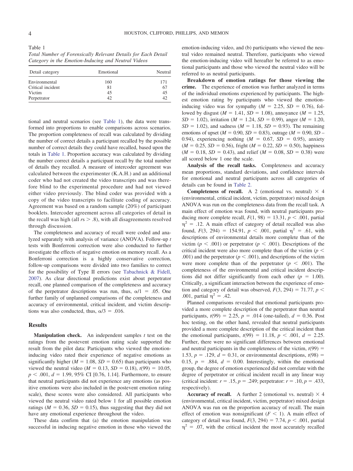Table 1 *Total Number of Forensically Relevant Details for Each Detail Category in the Emotion-Inducing and Neutral Videos*

| Detail category   | Emotional | Neutral |  |
|-------------------|-----------|---------|--|
| Environmental     | 160       | 171     |  |
| Critical incident | 81        | 67      |  |
| Victim            | 45        | 45      |  |
| Perpetrator       | 42.       | 42      |  |

tional and neutral scenarios (see Table 1), the data were transformed into proportions to enable comparisons across scenarios. The proportion completeness of recall was calculated by dividing the number of correct details a participant recalled by the possible number of correct details they could have recalled, based upon the totals in Table 1. Proportion accuracy was calculated by dividing the number correct details a participant recall by the total number of details they recalled. A measure of intercoder agreement was calculated between the experimenter (K.A.H.) and an additional coder who had not created the video transcripts and was therefore blind to the experimental procedure and had not viewed either video previously. The blind coder was provided with a copy of the video transcripts to facilitate coding of accuracy. Agreement was based on a random sample (20%) of participant booklets. Intercoder agreement across all categories of detail in the recall was high (all  $rs > .8$ ), with all disagreements resolved through discussion.

The completeness and accuracy of recall were coded and analyzed separately with analysis of variance (ANOVA). Follow-up *t* tests with Bonferroni correction were also conducted to further investigate the effects of negative emotion on memory recall. As a Bonferroni correction is a highly conservative correction, follow-up comparisons were divided into two families to correct for the possibility of Type II errors (see Tabachnick & Fidell, 2007). As clear directional predictions exist about perpetrator recall, one planned comparison of the completeness and accuracy of the perpetrator descriptions was run, thus,  $\alpha/1 = .05$ . One further family of unplanned comparisons of the completeness and accuracy of environmental, critical incident, and victim descriptions was also conducted, thus,  $\alpha/3 = .016$ .

#### **Results**

**Manipulation check.** An independent samples *t* test on the ratings from the postevent emotion rating scale supported the result from the pilot data: Participants who viewed the emotioninducing video rated their experience of negative emotions as significantly higher ( $M = 1.08$ ,  $SD = 0.65$ ) than participants who viewed the neutral video ( $M = 0.13$ ,  $SD = 0.18$ ),  $t(99) = 10.05$ ,  $p < .001$ ,  $d = 1.99$ , 95% CI [0.76, 1.14]. Furthermore, to ensure that neutral participants did not experience any emotions (as positive emotions were also included in the postevent emotion rating scale), these scores were also considered. All participants who viewed the neutral video rated below 1 for all possible emotion ratings ( $M = 0.36$ ,  $SD = 0.15$ ), thus suggesting that they did not have any emotional experience throughout the video.

These data confirm that (a) the emotion manipulation was successful in inducing negative emotion in those who viewed the emotion-inducing video, and (b) participants who viewed the neutral video remained neutral. Therefore, participants who viewed the emotion-inducing video will hereafter be referred to as emotional participants and those who viewed the neutral video will be referred to as neutral participants.

**Breakdown of emotion ratings for those viewing the crime.** The experience of emotion was further analyzed in terms of the individual emotions experienced by participants. The highest emotion rating by participants who viewed the emotioninducing video was for sympathy  $(M = 2.25, SD = 0.76)$ , followed by disgust ( $M = 1.41$ ,  $SD = 1.08$ ), annoyance ( $M = 1.25$ ,  $SD = 1.02$ ), irritation (*M* = 1.24, *SD* = 0.99), anger (*M* = 1.20,  $SD = 1.02$ , and sadness ( $M = 1.18$ ,  $SD = 0.93$ ). The remaining emotions of upset ( $M = 0.90$ ,  $SD = 0.83$ ), outrage ( $M = 0.90$ ,  $SD =$ 0.94), experiencing nothing  $(M = 0.67, SD = 0.95)$ , anxiety  $(M = 0.25, SD = 0.56)$ , fright  $(M = 0.22, SD = 0.50)$ , happiness  $(M = 0.18, SD = 0.43)$ , and relief  $(M = 0.08, SD = 0.38)$  were all scored below 1 one the scale.

**Analysis of the recall tasks.** Completeness and accuracy mean proportions, standard deviations, and confidence intervals for emotional and neutral participants across all categories of details can be found in Table 2.

**Completeness of recall.** A 2 (emotional vs. neutral)  $\times$  4 (environmental, critical incident, victim, perpetrator) mixed design ANOVA was run on the completeness data from the recall task. A main effect of emotion was found, with neutral participants producing more complete recall,  $F(1, 98) = 13.31$ ,  $p < .001$ , partial  $\eta^2$  = .12. A main effect of category of detail recalled was also found,  $F(3, 294) = 154.91$ ,  $p < .001$ , partial  $\eta^2 = .61$ , with descriptions of environmental details more complete than of the victim ( $p < .001$ ) or perpetrator ( $p < .001$ ). Descriptions of the critical incident were also more complete than of the victim ( $p <$ .001) and the perpetrator ( $p < .001$ ), and descriptions of the victim were more complete than of the perpetrator ( $p < .001$ ). The completeness of the environmental and critical incident descriptions did not differ significantly from each other  $(p = 1.00)$ . Critically, a significant interaction between the experience of emotion and category of detail was observed,  $F(3, 294) = 71.77$ ,  $p \le$ .001, partial  $\eta^2 = .42$ .

Planned comparisons revealed that emotional participants provided a more complete description of the perpetrator than neutral participants,  $t(99) = 2.25$ ,  $p = .014$  (one-tailed),  $d = 0.36$ . Post hoc testing, on the other hand, revealed that neutral participants provided a more complete description of the critical incident than the emotional participants,  $t(99) = 11.18$ ,  $p < .001$ ,  $d = 2.25$ . Further, there were no significant differences between emotional and neutral participants in the completeness of the victim,  $t(99) =$ 1.53,  $p = .129$ ,  $d = 0.31$ , or environmental descriptions,  $t(98) =$ 0.15,  $p = .884$ ,  $d = 0.00$ . Interestingly, within the emotional group, the degree of emotion experienced did not correlate with the degree of perpetrator or critical incident recall in any linear way (critical incident:  $r = .15$ ,  $p = .249$ ; perpetrator:  $r = .10$ ,  $p = .433$ , respectively).

**Accuracy of recall.** A further 2 (emotional vs. neutral)  $\times$  4 (environmental, critical incident, victim, perpetrator) mixed design ANOVA was run on the proportion accuracy of recall. The main effect of emotion was nonsignificant  $(F \leq 1)$ . A main effect of category of detail was found,  $F(3, 294) = 7.74$ ,  $p < .001$ , partial  $\eta^2$  = .07, with the critical incident the most accurately recalled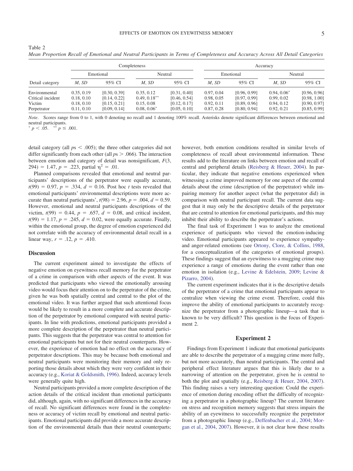| Detail category   |            |              | Completeness    |              |            |              | Accuracy       |              |
|-------------------|------------|--------------|-----------------|--------------|------------|--------------|----------------|--------------|
|                   | Emotional  |              | Neutral         |              | Emotional  |              | Neutral        |              |
|                   | M. SD      | 95% CI       | M. SD           | 95% CI       | M, SD      | 95% CI       | M, SD          | 95% CI       |
| Environmental     | 0.35, 0.19 | [0.30, 0.39] | 0.35, 0.12      | [0.31, 0.40] | 0.97, 0.04 | [0.96, 0.99] | $0.94, 0.06^*$ | [0.96, 0.96] |
| Critical incident | 0.18, 0.10 | [0.14, 0.22] | $0.49, 0.18***$ | [0.46, 0.54] | 0.98, 0.05 | [0.97, 0.99] | 0.99, 0.02     | [0.98, 1.00] |
| Victim            | 0.18, 0.10 | [0.15, 0.21] | 0.15, 0.08      | [0.12, 0.17] | 0.92, 0.11 | [0.89, 0.96] | 0.94, 0.12     | [0.90, 0.97] |
| Perpetrator       | 0.11, 0.10 | [0.09, 0.14] | $0.08, 0.06^*$  | [0.05, 0.10] | 0.87, 0.28 | [0.80, 0.94] | 0.92, 0.21     | [0.85, 0.99] |

Table 2 *Mean Proportion Recall of Emotional and Neutral Participants in Terms of Completeness and Accuracy Across All Detail Categories*

*Note*. Scores range from 0 to 1, with 0 denoting no recall and 1 denoting 100% recall. Asterisks denote significant differences between emotional and neutral participants.

 $p < .05.$  \*\*  $p \le .001.$ 

detail category (all  $ps < .005$ ); the three other categories did not differ significantly from each other (all  $ps > .066$ ). The interaction between emotion and category of detail was nonsignificant, *F*(3, 294) = 1.47,  $p = .223$ , partial  $\eta^2 = .01$ .

Planned comparisons revealed that emotional and neutral participants' descriptions of the perpetrator were equally accurate,  $t(99) = 0.97$ ,  $p = .334$ ,  $d = 0.16$ . Post hoc *t* tests revealed that emotional participants' environmental descriptions were more accurate than neutral participants',  $t(98) = 2.96$ ,  $p = .004$ ,  $d = 0.59$ . However, emotional and neutral participants descriptions of the victim,  $t(99) = 0.44$ ,  $p = .657$ ,  $d = 0.08$ , and critical incident,  $t(99) = 1.17$ ,  $p = .245$ ,  $d = 0.02$ , were equally accurate. Finally, within the emotional group, the degree of emotion experienced did not correlate with the accuracy of environmental detail recall in a linear way,  $r = .12$ ,  $p = .410$ .

#### **Discussion**

The current experiment aimed to investigate the effects of negative emotion on eyewitness recall memory for the perpetrator of a crime in comparison with other aspects of the event. It was predicted that participants who viewed the emotionally arousing video would focus their attention on to the perpetrator of the crime, given he was both spatially central and central to the plot of the emotional video. It was further argued that such attentional focus would be likely to result in a more complete and accurate description of the perpetrator by emotional compared with neutral participants. In line with predictions, emotional participants provided a more complete description of the perpetrator than neutral participants. This suggests that the perpetrator was central to attention for emotional participants but not for their neutral counterparts. However, the experience of emotion had no effect on the accuracy of perpetrator descriptions. This may be because both emotional and neutral participants were monitoring their memory and only reporting those details about which they were very confident in their accuracy (e.g., Koriat & Goldsmith, 1996). Indeed, accuracy levels were generally quite high.

Neutral participants provided a more complete description of the action details of the critical incident than emotional participants did, although, again, with no significant differences in the accuracy of recall. No significant differences were found in the completeness or accuracy of victim recall by emotional and neutral participants. Emotional participants did provide a more accurate description of the environmental details than their neutral counterparts; however, both emotion conditions resulted in similar levels of completeness of recall about environmental information. These results add to the literature on links between emotion and recall of central and peripheral details (Reisberg & Heuer, 2004). In particular, they indicate that negative emotions experienced when witnessing a crime improved memory for one aspect of the central details about the crime (description of the perpetrator) while impairing memory for another aspect (what the perpetrator did) in comparison with neutral participant recall. The current data suggest that it may only be the descriptive details of the perpetrator that are central to attention for emotional participants, and this may inhibit their ability to describe the perpetrator's actions.

The final task of Experiment 1 was to analyze the emotional experience of participants who viewed the emotion-inducing video. Emotional participants appeared to experience sympathyand anger-related emotions (see Ortony, Clore, & Collins, 1988, for a conceptualization of the categories of emotional groups). These findings suggest that an eyewitness to a mugging crime may experience a range of emotions during the event rather than one emotion in isolation (e.g., Levine & Edelstein, 2009; Levine & Pizarro, 2004).

The current experiment indicates that it is the descriptive details of the perpetrator of a crime that emotional participants appear to centralize when viewing the crime event. Therefore, could this improve the ability of emotional participants to accurately recognize the perpetrator from a photographic lineup—a task that is known to be very difficult? This question is the focus of Experiment 2.

#### **Experiment 2**

Findings from Experiment 1 indicate that emotional participants are able to describe the perpetrator of a mugging crime more fully, but not more accurately, than neutral participants. The central and peripheral effect literature argues that this is likely due to a narrowing of attention on the perpetrator, given he is central to both the plot and spatially (e.g., Reisberg & Heuer, 2004, 2007). This finding raises a very interesting question: Could the experience of emotion during encoding offset the difficulty of recognizing a perpetrator in a photographic lineup? The current literature on stress and recognition memory suggests that stress impairs the ability of an eyewitness to successfully recognize the perpetrator from a photographic lineup (e.g., Deffenbacher et al., 2004; Morgan et al., 2004, 2007). However, it is not clear how these results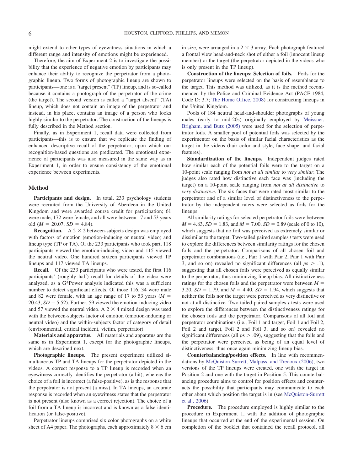might extend to other types of eyewitness situations in which a different range and intensity of emotions might be experienced.

Therefore, the aim of Experiment 2 is to investigate the possibility that the experience of negative emotion by participants may enhance their ability to recognize the perpetrator from a photographic lineup. Two forms of photographic lineup are shown to participants— one is a "target present" (TP) lineup, and is so-called because it contains a photograph of the perpetrator of the crime (the target). The second version is called a "target absent" (TA) lineup, which does not contain an image of the perpetrator and instead, in his place, contains an image of a person who looks highly similar to the perpetrator. The construction of the lineups is fully described in the Method section.

Finally, as in Experiment 1, recall data were collected from participants—this is to ensure that we replicate the finding of enhanced descriptive recall of the perpetrator, upon which our recognition-based questions are predicated. The emotional experience of participants was also measured in the same way as in Experiment 1, in order to ensure consistency of the emotional experience between experiments.

#### **Method**

Participants and design. In total, 233 psychology students were recruited from the University of Aberdeen in the United Kingdom and were awarded course credit for participation; 61 were male, 172 were female, and all were between 17 and 53 years old ( $M = 20.07$ ,  $SD = 4.84$ ).

**Recognition.** A  $2 \times 2$  between-subjects design was employed with factors of emotion (emotion-inducing or neutral video) and lineup type (TP or TA). Of the 233 participants who took part, 118 participants viewed the emotion-inducing video and 115 viewed the neutral video. One hundred sixteen participants viewed TP lineups and 117 viewed TA lineups.

**Recall.** Of the 233 participants who were tested, the first 116 participants' (roughly half) recall for details of the video were analyzed, as a G\*Power analysis indicated this was a sufficient number to detect significant effects. Of those 116, 34 were male and 82 were female, with an age range of 17 to 53 years (*M* 20.43,  $SD = 5.52$ ). Further, 59 viewed the emotion-inducing video and 57 viewed the neutral video. A  $2 \times 4$  mixed design was used with the between-subjects factor of emotion (emotion-inducing or neutral video) and the within-subjects factor of category of detail (environmental, critical incident, victim, perpetrator).

**Materials and apparatus.** All materials and apparatus are the same as in Experiment 1, except for the photographic lineups, which are described next.

**Photographic lineups.** The present experiment utilized simultaneous TP and TA lineups for the perpetrator depicted in the videos. A correct response to a TP lineup is recorded when an eyewitness correctly identifies the perpetrator (a hit), whereas the choice of a foil is incorrect (a false-positive), as is the response that the perpetrator is not present (a miss). In TA lineups, an accurate response is recorded when an eyewitness states that the perpetrator is not present (also known as a correct rejection). The choice of a foil from a TA lineup is incorrect and is known as a false identification (or false-positive).

Perpetrator lineups comprised six color photographs on a white sheet of A4 paper. The photographs, each approximately  $8 \times 6$  cm

in size, were arranged in a  $2 \times 3$  array. Each photograph featured a frontal view head-and-neck shot of either a foil (innocent lineup member) or the target (the perpetrator depicted in the videos who is only present in the TP lineup).

**Construction of the lineups: Selection of foils.** Foils for the perpetrator lineups were selected on the basis of resemblance to the target. This method was utilized, as it is the method recommended by the Police and Criminal Evidence Act (PACE 1984, Code D: 3.7; The Home Office, 2008) for constructing lineups in the United Kingdom.

Pools of 184 neutral head-and-shoulder photographs of young males (early to mid-20s) originally employed by Meissner, Brigham, and Butz (2005) were used for the selection of perpetrator foils. A smaller pool of potential foils was selected by the experimenter on the basis of similar facial characteristics as the target in the videos (hair color and style, face shape, and facial features).

**Standardization of the lineups.** Independent judges rated how similar each of the potential foils were to the target on a 10-point scale ranging from *not at all similar* to *very similar*. The judges also rated how distinctive each face was (including the target) on a 10-point scale ranging from *not at all distinctive* to *very distinctive*. The six faces that were rated most similar to the perpetrator and of a similar level of distinctiveness to the perpetrator by the independent raters were selected as foils for the lineups.

All similarity ratings for selected perpetrator foils were between  $M = 4.83$ ,  $SD = 1.83$ , and  $M = 7.00$ ,  $SD = 0.89$  (scale of 0 to 10), which suggests that no foil was perceived as extremely similar or dissimilar to the target. Two-tailed paired samples *t* tests were used to explore the differences between similarity ratings for the chosen foils and the perpetrator. Comparisons of all chosen foil and perpetrator combinations (i.e., Pair 1 with Pair 2, Pair 1 with Pair 3, and so on) revealed no significant differences (all  $ps > .1$ ), suggesting that all chosen foils were perceived as equally similar to the perpetrator, thus minimizing lineup bias. All distinctiveness ratings for the chosen foils and the perpetrator were between  $M =$ 3.20,  $SD = 1.79$ , and  $M = 4.40$ ,  $SD = 1.94$ , which suggests that neither the foils nor the target were perceived as very distinctive or not at all distinctive. Two-tailed paired samples *t* tests were used to explore the differences between the distinctiveness ratings for the chosen foils and the perpetrator. Comparisons of all foil and perpetrator combinations (i.e., Foil 1 and target, Foil 1 and Foil 2, Foil 2 and target, Foil 2 and Foil 3, and so on) revealed no significant differences (all  $p_s > .09$ ), suggesting that the foils and the perpetrator were perceived as being of an equal level of distinctiveness, thus once again minimizing lineup bias.

**Counterbalancing/position effects.** In line with recommendations by McQuiston-Surrett, Malpass, and Tredoux (2006), two versions of the TP lineups were created, one with the target in Position 2 and one with the target in Position 5. This counterbalancing procedure aims to control for position effects and counteracts the possibility that participants may communicate to each other about which position the target is in (see McQuiston-Surrett et al., 2006).

**Procedure.** The procedure employed is highly similar to the procedure in Experiment 1, with the addition of photographic lineups that occurred at the end of the experimental session. On completion of the booklet that contained the recall protocol, all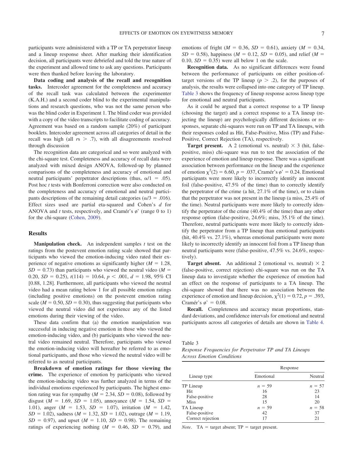participants were administered with a TP or TA perpetrator lineup and a lineup response sheet. After marking their identification decision, all participants were debriefed and told the true nature of the experiment and allowed time to ask any questions. Participants were then thanked before leaving the laboratory.

**Data coding and analysis of the recall and recognition tasks.** Intercoder agreement for the completeness and accuracy of the recall task was calculated between the experimenter (K.A.H.) and a second coder blind to the experimental manipulations and research questions, who was not the same person who was the blind coder in Experiment 1. The blind coder was provided with a copy of the video transcripts to facilitate coding of accuracy. Agreement was based on a random sample (20%) of participant booklets. Intercoder agreement across all categories of detail in the recall was high (all  $rs > .7$ ), with all disagreements resolved through discussion

The recognition data are categorical and so were analyzed with the chi-square test. Completeness and accuracy of recall data were analyzed with mixed design ANOVA, followed-up by planned comparisons of the completeness and accuracy of emotional and neutral participants' perpetrator descriptions (thus,  $\alpha/1 = .05$ ). Post hoc *t* tests with Bonferroni correction were also conducted on the completeness and accuracy of emotional and neutral participants descriptions of the remaining detail categories ( $\alpha/3 = .016$ ). Effect sizes used are partial eta-squared and Cohen's *d* for ANOVA and *t* tests, respectively, and Cramér's ø' (range 0 to 1) for the chi-square (Cohen, 2009).

#### **Results**

**Manipulation check.** An independent samples *t* test on the ratings from the postevent emotion rating scale showed that participants who viewed the emotion-inducing video rated their experience of negative emotions as significantly higher  $(M = 1.28$ ,  $SD = 0.73$ ) than participants who viewed the neutral video ( $M =$ 0.20,  $SD = 0.25$ ,  $t(114) = 10.64$ ,  $p < .001$ ,  $d = 1.98$ , 95% CI [0.88, 1.28]. Furthermore, all participants who viewed the neutral video had a mean rating below 1 for all possible emotion ratings (including positive emotions) on the postevent emotion rating scale ( $M = 0.50$ ,  $SD = 0.30$ ), thus suggesting that participants who viewed the neutral video did not experience any of the listed emotions during their viewing of the video.

These data confirm that (a) the emotion manipulation was successful in inducing negative emotion in those who viewed the emotion-inducing video, and (b) participants who viewed the neutral video remained neutral. Therefore, participants who viewed the emotion-inducing video will hereafter be referred to as emotional participants, and those who viewed the neutral video will be referred to as neutral participants.

**Breakdown of emotion ratings for those viewing the crime.** The experience of emotion by participants who viewed the emotion-inducing video was further analyzed in terms of the individual emotions experienced by participants. The highest emotion rating was for sympathy ( $M = 2.34$ ,  $SD = 0.08$ ), followed by disgust ( $M = 1.69$ ,  $SD = 1.05$ ), annoyance ( $M = 1.54$ ,  $SD =$ 1.01), anger ( $M = 1.53$ ,  $SD = 1.07$ ), irritation ( $M = 1.42$ ,  $SD = 1.02$ ), sadness (*M* = 1.32, *SD* = 1.02), outrage (*M* = 1.19,  $SD = 0.97$ , and upset ( $M = 1.10$ ,  $SD = 0.98$ ). The remaining ratings of experiencing nothing  $(M = 0.46, SD = 0.79)$ , and emotions of fright ( $M = 0.36$ ,  $SD = 0.61$ ), anxiety ( $M = 0.34$ ,  $SD = 0.58$ ), happiness (*M* = 0.12, *SD* = 0.05), and relief (*M* = 0.10,  $SD = 0.35$ ) were all below 1 on the scale.

**Recognition data.** As no significant differences were found between the performance of participants on either position-oftarget versions of the TP lineup  $(p > .2)$ , for the purposes of analysis, the results were collapsed into one category of TP lineup. Table 3 shows the frequency of lineup response across lineup type for emotional and neutral participants.

As it could be argued that a correct response to a TP lineup (choosing the target) and a correct response to a TA lineup (rejecting the lineup) are psychologically different decisions or responses, separate chi-squares were run on TP and TA lineups, with their responses coded as Hit, False-Positive, Miss (TP) and False-Positive, Correct Rejection (TA), respectively.

**Target present.** A 2 (emotional vs. neutral)  $\times$  3 (hit, falsepositive, miss) chi-square was run to test the association of the experience of emotion and lineup response. There was a significant association between performance on the lineup and the experience of emotion  $\chi^2(2) = 6.60, p = .037$ , Cramér's ø' = 0.24. Emotional participants were more likely to incorrectly identify an innocent foil (false-positive, 47.5% of the time) than to correctly identify the perpetrator of the crime (a hit, 27.1% of the time), or to claim that the perpetrator was not present in the lineup (a miss, 25.4% of the time). Neutral participants were more likely to correctly identify the perpetrator of the crime (40.4% of the time) than any other response option (false-positive, 24.6%; miss, 35.1% of the time). Therefore, neutral participants were more likely to correctly identify the perpetrator from a TP lineup than emotional participants (hit, 40.4% vs. 27.1%), whereas emotional participants were more likely to incorrectly identify an innocent foil from a TP lineup than neutral participants were (false-positive, 47.5% vs. 24.6%, respectively).

**Target absent.** An additional 2 (emotional vs. neutral)  $\times$  2 (false-positive, correct rejection) chi-square was run on the TA lineup data to investigate whether the experience of emotion had an effect on the response of participants to a TA lineup. The chi-square showed that there was no association between the experience of emotion and lineup decision,  $\chi^2(1) = 0.72$ ,  $p = .393$ , Cramér's  $\phi' = 0.08$ .

**Recall.** Completeness and accuracy mean proportions, standard deviations, and confidence intervals for emotional and neutral participants across all categories of details are shown in Table 4.

Table 3

| Response Frequencies for Perpetrator TP and TA Lineups |  |  |  |  |
|--------------------------------------------------------|--|--|--|--|
| <b>Across Emotion Conditions</b>                       |  |  |  |  |

|                   | Response  |          |  |  |  |
|-------------------|-----------|----------|--|--|--|
| Lineup type       | Emotional | Neutral  |  |  |  |
| TP Lineup         | $n = 59$  | $n = 57$ |  |  |  |
| Hit               | 16        | 23       |  |  |  |
| False-positive    | 28        | 14       |  |  |  |
| <b>Miss</b>       | 15        | 20       |  |  |  |
| TA Lineup         | $n = 59$  | $n = 58$ |  |  |  |
| False-positive    | 42        | 37       |  |  |  |
| Correct rejection |           | 21       |  |  |  |
|                   |           |          |  |  |  |

*Note*. TA = target absent;  $TP = target$  present.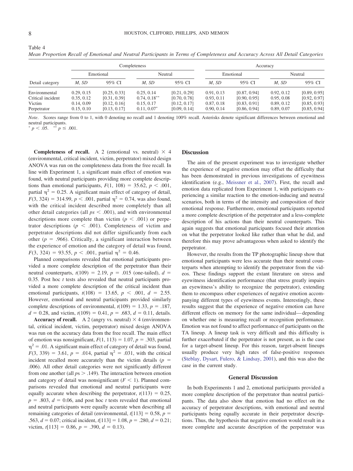Table 4

| Detail category   |            | Completeness |                 |              |            | Accuracy     |            |              |  |
|-------------------|------------|--------------|-----------------|--------------|------------|--------------|------------|--------------|--|
|                   | Emotional  |              | Neutral         |              | Emotional  |              | Neutral    |              |  |
|                   | M, SD      | 95% CI       | M. SD           | 95% CI       | M. SD      | 95% CI       | M. SD      | 95% CI       |  |
| Environmental     | 0.29, 0.15 | [0.25, 0.33] | 0.25, 0.14      | [0.21, 0.29] | 0.91, 0.13 | [0.87, 0.94] | 0.92, 0.12 | [0.89, 0.95] |  |
| Critical incident | 0.35, 0.12 | [0.31, 0.39] | $0.74, 0.18***$ | [0.70, 0.78] | 0.93, 0.11 | [0.90, 0.95] | 0.95, 0.08 | [0.92, 0.97] |  |
| Victim            | 0.14, 0.09 | [0.12, 0.16] | 0.15, 0.17      | [0.12, 0.17] | 0.87, 0.18 | [0.83, 0.91] | 0.89, 0.12 | [0.85, 0.93] |  |
| Perpetrator       | 0.15, 0.10 | [0.13, 0.17] | $0.11, 0.07^*$  | [0.09, 0.14] | 0.90, 0.14 | [0.86, 0.94] | 0.89, 0.07 | [0.85, 0.94] |  |

*Mean Proportion Recall of Emotional and Neutral Participants in Terms of Completeness and Accuracy Across All Detail Categories*

*Note*. Scores range from 0 to 1, with 0 denoting no recall and 1 denoting 100% recall. Asterisks denote significant differences between emotional and neutral participants.

 $p < .05.$  \*\*  $p \le .001.$ 

**Completeness of recall.** A 2 (emotional vs. neutral)  $\times$  4 (environmental, critical incident, victim, perpetrator) mixed design ANOVA was run on the completeness data from the free recall. In line with Experiment 1, a significant main effect of emotion was found, with neutral participants providing more complete descriptions than emotional participants,  $F(1, 108) = 35.62$ ,  $p < .001$ , partial  $\eta^2 = 0.25$ . A significant main effect of category of detail,  $F(3, 324) = 314.99, p < .001$ , partial  $\eta^2 = 0.74$ , was also found, with the critical incident described more completely than all other detail categories (all  $ps < .001$ ), and with environmental descriptions more complete than victim ( $p < .001$ ) or perpetrator descriptions ( $p < .001$ ). Completeness of victim and perpetrator descriptions did not differ significantly from each other  $(p = .966)$ . Critically, a significant interaction between the experience of emotion and the category of detail was found,  $F(3, 324) = 93.55$ ,  $p < .001$ , partial  $\eta^2 = 0.46$ .

Planned comparisons revealed that emotional participants provided a more complete description of the perpetrator than their neutral counterparts,  $t(109) = 2.19$ ,  $p = .015$  (one-tailed),  $d =$ 0.35. Post hoc *t* tests also revealed that neutral participants provided a more complete description of the critical incident than emotional participants,  $t(108) = 13.65$ ,  $p < .001$ ,  $d = 2.55$ . However, emotional and neutral participants provided similarly complete descriptions of environmental,  $t(109) = 1.33$ ,  $p = .187$ ,  $d = 0.28$ , and victim,  $t(109) = 0.41$ ,  $p = .683$ ,  $d = 0.11$ , details.

**Accuracy of recall.** A 2 (angry vs. neutral)  $\times$  4 (environmental, critical incident, victim, perpetrator) mixed design ANOVA was run on the accuracy data from the free recall. The main effect of emotion was nonsignificant,  $F(1, 113) = 1.07$ ,  $p = .303$ , partial  $\eta^2$  = .01. A significant main effect of category of detail was found,  $F(3, 339) = 3.61$ ,  $p = .014$ , partial  $\eta^2 = .031$ , with the critical incident recalled more accurately than the victim details  $(p =$ .006). All other detail categories were not significantly different from one another (all  $ps > .149$ ). The interaction between emotion and category of detail was nonsignificant  $(F < 1)$ . Planned comparisons revealed that emotional and neutral participants were equally accurate when describing the perpetrator,  $t(113) = 0.25$ ,  $p = .803$ ,  $d = 0.06$ , and post hoc *t* tests revealed that emotional and neutral participants were equally accurate when describing all remaining categories of detail (environmental,  $t[113] = 0.58$ ,  $p =$ .563,  $d = 0.07$ ; critical incident,  $t[113] = 1.08$ ,  $p = .280$ ,  $d = 0.21$ ; victim,  $t[113] = 0.86$ ,  $p = .390$ ,  $d = 0.13$ ).

#### **Discussion**

The aim of the present experiment was to investigate whether the experience of negative emotion may offset the difficulty that has been demonstrated in previous investigations of eyewitness identification (e.g., Meissner et al., 2007). First, the recall and emotion data replicated from Experiment 1, with participants experiencing a similar reaction to the emotion-inducing and neutral scenarios, both in terms of the intensity and composition of their emotional response. Furthermore, emotional participants reported a more complete description of the perpetrator and a less-complete description of his actions than their neutral counterparts. This again suggests that emotional participants focused their attention on what the perpetrator looked like rather than what he did, and therefore this may prove advantageous when asked to identify the perpetrator.

However, the results from the TP photographic lineup show that emotional participants were less accurate than their neutral counterparts when attempting to identify the perpetrator from the videos. These findings support the extant literature on stress and eyewitness identification performance (that stress greatly impairs an eyewitness's ability to recognize the perpetrator), extending them to encompass other experiences of negative emotion accompanying different types of eyewitness events. Interestingly, these results suggest that the experience of negative emotion can have different effects on memory for the same individual— depending on whether one is measuring recall or recognition performance. Emotion was not found to affect performance of participants on the TA lineup. A lineup task is very difficult and this difficulty is further exacerbated if the perpetrator is not present, as is the case for a target-absent lineup. For this reason, target-absent lineups usually produce very high rates of false-positive responses (Steblay, Dysart, Fulero, & Lindsay, 2001), and this was also the case in the current study.

#### **General Discussion**

In both Experiments 1 and 2, emotional participants provided a more complete description of the perpetrator than neutral participants. The data also show that emotion had no effect on the accuracy of perpetrator descriptions, with emotional and neutral participants being equally accurate in their perpetrator descriptions. Thus, the hypothesis that negative emotion would result in a more complete and accurate description of the perpetrator was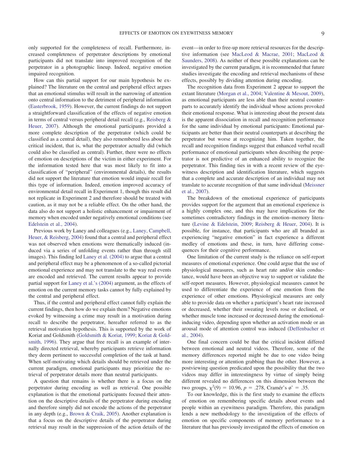only supported for the completeness of recall. Furthermore, increased completeness of perpetrator descriptions by emotional participants did not translate into improved recognition of the perpetrator in a photographic lineup. Indeed, negative emotion impaired recognition.

How can this partial support for our main hypothesis be explained? The literature on the central and peripheral effect argues that an emotional stimulus will result in the narrowing of attention onto central information to the detriment of peripheral information (Easterbrook, 1959). However, the current findings do not support a straightforward classification of the effects of negative emotion in terms of central versus peripheral detail recall (e.g., Reisberg & Heuer, 2007). Although the emotional participants provided a more complete description of the perpetrator (which could be classified as a central detail), they also remembered less about the critical incident, that is, what the perpetrator actually did (which could also be classified as central). Further, there were no effects of emotion on descriptions of the victim in either experiment. For the information tested here that was most likely to fit into a classification of "peripheral" (environmental details), the results did not support the literature that emotion would impair recall for this type of information. Indeed, emotion improved accuracy of environmental detail recall in Experiment 1, though this result did not replicate in Experiment 2 and therefore should be treated with caution, as it may not be a reliable effect. On the other hand, the data also do not support a holistic enhancement or impairment of memory when encoded under negatively emotional conditions (see Edelstein et al., 2004).

Previous work by Laney and colleagues (e.g., Laney, Campbell, Heuer, & Reisberg, 2004) found that a central and peripheral effect was not observed when emotions were thematically induced (induced via a series of unfolding events rather than through still images). This finding led Laney et al. (2004) to argue that a central and peripheral effect may be a phenomenon of a so-called pictorial emotional experience and may not translate to the way real events are encoded and retrieved. The current results appear to provide partial support for Laney et al.'s (2004) argument, as the effects of emotion on the current memory tasks cannot by fully explained by the central and peripheral effect.

Thus, if the central and peripheral effect cannot fully explain the current findings, then how do we explain them? Negative emotions evoked by witnessing a crime may result in a motivation during recall to describe the perpetrator, hereafter referred to as the retrieval motivation hypothesis. This is supported by the work of Koriat and Goldsmith (Goldsmith & Koriat, 1999; Koriat & Goldsmith, 1996). They argue that free recall is an example of internally directed retrieval, whereby participants retrieve information they deem pertinent to successful completion of the task at hand. When self-motivating which details should be retrieved under the current paradigm, emotional participants may prioritize the retrieval of perpetrator details more than neutral participants.

A question that remains is whether there is a focus on the perpetrator during encoding as well as retrieval. One possible explanation is that the emotional participants focused their attention on the descriptive details of the perpetrator during encoding and therefore simply did not encode the actions of the perpetrator in any depth (e.g., Brown & Craik, 2005). Another explanation is that a focus on the descriptive details of the perpetrator during retrieval may result in the suppression of the action details of the event—in order to free-up more retrieval resources for the descriptive information (see MacLeod & Macrae, 2001; MacLeod & Saunders, 2008). As neither of these possible explanations can be investigated by the current paradigm, it is recommended that future studies investigate the encoding and retrieval mechanisms of these effects, possibly by dividing attention during encoding.

The recognition data from Experiment 2 appear to support the extant literature (Morgan et al., 2004; Valentine & Mesout, 2009), as emotional participants are less able than their neutral counterparts to accurately identify the individual whose actions provoked their emotional response. What is interesting about the present data is the apparent dissociation in recall and recognition performance for the same individual by emotional participants: Emotional participants are better than their neutral counterparts at describing the perpetrator but worse at recognizing him. Taken together, the recall and recognition findings suggest that enhanced verbal recall performance of emotional participants when describing the perpetrator is not predictive of an enhanced ability to recognize the perpetrator. This finding ties in with a recent review of the eyewitness description and identification literature, which suggests that a complete and accurate description of an individual may not translate to accurate recognition of that same individual (Meissner et al., 2007).

The breakdown of the emotional experience of participants provides support for the argument that an emotional experience is a highly complex one, and this may have implications for the sometimes contradictory findings in the emotion–memory literature (Levine & Edelstein, 2009; Reisberg & Heuer, 2004). It is possible, for instance, that participants who are all branded as experiencing "negative emotion" in fact experience a different medley of emotions and these, in turn, have differing consequences for their cognitive performance.

One limitation of the current study is the reliance on self-report measures of emotional experience. One could argue that the use of physiological measures, such as heart rate and/or skin conductance, would have been an objective way to support or validate the self-report measures. However, physiological measures cannot be used to differentiate the experience of one emotion from the experience of other emotions. Physiological measures are only able to provide data on whether a participant's heart rate increased or decreased, whether their sweating levels rose or declined, or whether muscle tone increased or decreased during the emotionalinducing video, depending upon whether an activation mode or an arousal mode of attention control was induced (Deffenbacher et al.,  $2004$ ).

One final concern could be that the critical incident differed between emotional and neutral videos. Therefore, some of the memory differences reported might be due to one video being more interesting or attention grabbing than the other. However, a postviewing question predicated upon the possibility that the two videos may differ in interestingness by virtue of simply being different revealed no differences on this dimension between the two groups,  $\chi^2(9) = 10.96$ ,  $p = .278$ , Cramér's  $\phi' = .35$ .

To our knowledge, this is the first study to examine the effects of emotion on remembering specific details about events and people within an eyewitness paradigm. Therefore, this paradigm lends a new methodology to the investigation of the effects of emotion on specific components of memory performance to a literature that has previously investigated the effects of emotion on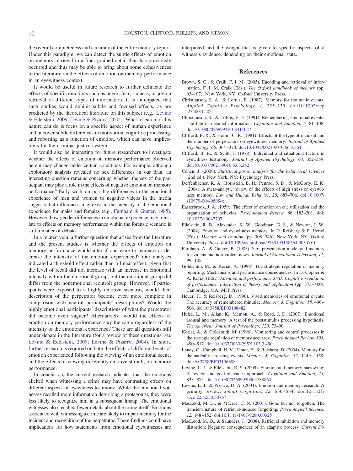the overall completeness and accuracy of the entire memory report. Under this paradigm, we can detect the subtle effects of emotion on memory retrieval in a finer-grained detail than has previously occurred and thus may be able to bring about some cohesiveness to the literature on the effects of emotion on memory performance in an eyewitness context.

It would be useful in future research to further delineate the effects of specific emotions such as anger, fear, sadness, or joy on retrieval of different types of information. It is anticipated that such studies would exhibit subtle and focused effects, as are predicted by the theoretical literature on this subject (e.g., Levine & Edelstein, 2009; Levine & Pizarro, 2004). What research of this nature can do is focus on a specific aspect of human experience and uncover subtle differences in motivation, cognitive processing, and reporting as a function of emotion, which can have implications for the criminal justice system.

It would also be interesting for future researchers to investigate whether the effects of emotion on memory performance observed herein may change under certain conditions. For example, although exploratory analysis revealed no sex differences in our data, an interesting question remains concerning whether the sex of the participant may play a role in the effects of negative emotion on memory performance? Early work on possible differences in the emotional experience of men and women to negative videos in the media suggests that differences may exist in the intensity of the emotional experience for males and females (e.g., Furnham & Gunter, 1985). However, how gender differences in emotional experience may translate to effects on memory performance within the forensic scenario is still a matter of debate.

In a related vein, a further question that arises from the literature and the present studies is whether the effects of emotion on memory performance would alter if one were to increase or decrease the intensity of the emotion experienced? Our analyses indicated a threshold effect rather than a linear effect, given that the level of recall did not increase with an increase in emotional intensity within the emotional group, but the emotional group did differ from the nonemotional (control) group. However, if participants were exposed to a highly emotive scenario, would their description of the perpetrator become even more complete in comparison with neutral participants' descriptions? Would the highly emotional participants' descriptions of what the perpetrator did become even vaguer? Alternatively, would the effects of emotion on memory performance stay the same regardless of the intensity of the emotional experience? These are all questions still under debate in the literature (for a review of these questions, see Levine & Edelstein, 2009; Levine & Pizarro, 2004). In short, further research is required on both the effects of different levels of emotion experienced following the viewing of an emotional scene, and the effects of viewing differently emotive stimuli, on memory performance.

In conclusion, the current research indicates that the emotions elicited when witnessing a crime may have contrasting effects on different aspects of eyewitness testimony. While the emotional witnesses recalled more information describing a protagonist, they were less likely to recognize him in a subsequent lineup. The emotional witnesses also recalled fewer details about the crime itself. Emotions associated with witnessing a crime are likely to impair memory for the incident and recognition of the perpetrator. These findings could have implications for how statements from emotional eyewitnesses are interpreted and the weight that is given to specific aspects of a witness's evidence, depending on their emotional state.

#### **References**

- Brown, S. C., & Craik, F. I. M. (2005). Encoding and retrieval of information. F. I. M. Craik (Eds.), *The Oxford handbook of memory* (pp. 93–107). New York, NY: Oxford University Press.
- Christianson, S. A., & Loftus, E. (1987). Memory for traumatic events. *Applied Cognitive Psychology, 1,* 225–239. doi:10.1002/acp .2350010402
- Christianson, S., & Loftus, E. F. (1991). Remembering emotional events: The fate of detailed information. *Cognition and Emotion, 5,* 81–108. doi:10.1080/02699939108411027
- Clifford, B. R., & Hollin, C. R. (1981). Effects of the type of incident and the number of perpetrators on eyewitness memory. *Journal of Applied Psychology, 66,* 364 –370. doi:10.1037/0021-9010.66.3.364
- Clifford, B. R., & Scott, J. (1978). Individual and situational factors in eyewitness testimony. *Journal of Applied Psychology, 63,* 352–359. doi:10.1037/0021-9010.63.3.352
- Cohen, J. (2009). *Statistical power analysis for the behavioral sciences* (2nd ed.). New York, NY: Psychology Press.
- Deffenbacher, K. A., Bornstein, B. H., Penrod, S. D., & McGorty, E. K. (2004). A meta-analytic review of the effects of high stress on eyewitness memory. *Law and Human Behavior, 28,* 687–706. doi:10.1007/ s10979-004-0565-x
- Easterbrook, J. A. (1959). The effect of emotion on cue utilisation and the organisation of behavior. *Psychological Review, 66,* 183–201. doi: 10.1037/h0047707
- Edelstein, R. B., Alexander, K. W., Goodman, G. S., & Newton, J. W. (2004). Emotion and eyewitness memory. In D. Reisberg & P. Hertel (Eds.), *Memory and emotion* (pp. 308 –346). New York, NY: Oxford University Press. doi:10.1093/acprof:oso/9780195158564.003.0010
- Furnham, A., & Gunter, B. (1985). Sex, presentation mode, and memory for violent and non-violent news. *Journal of Educational Television, 11,* 99 –105.
- Goldsmith, M., & Koriat, A. (1999). The strategic regulation of memory reporting: Mechanisms and performance consequences. In D. Gopher & A. Koriat (Eds.), *Attention and performance XVII: Cognitive regulation of performance: Interaction of theory and application* (pp. 373– 400). Cambridge, MA: MIT Press.
- Heuer, F., & Reisberg, D. (1990). Vivid memories of emotional events: The accuracy of remembered minutiae. *Memory & Cognition, 18,* 496 – 506. doi:10.3758/BF03198482
- Hulse, L. M., Allan, K., Memon, A., & Read, J. D. (2007). Emotional arousal and memory: A test of the poststimulus processing hypothesis. *The American Journal of Psychology, 120,* 73–90.
- Koriat, A., & Goldsmith, M. (1996). Monitoring and control processes in the strategic regulation of memory accuracy. *Psychological Review, 103,* 490 –517. doi:10.1037/0033-295X.103.3.490
- Laney, C., Campbell, H. V., Heuer, F., & Reisberg, D. (2004). Memory for thematically arousing events. *Memory & Cognition, 32,* 1149 –1159. doi:10.3758/BF03196888
- Levine, L. J., & Edelstein, R. S. (2009). Emotion and memory narrowing: A review and goal-relevance approach. *Cognition and Emotion, 23,* 833– 875. doi:10.1080/02699930902738863
- Levine, L. J., & Pizarro, D. A. (2004). Emotion and memory research: A grumpy review. *Social Cognition, 22,* 530 –554. doi:10.1521/ soco.22.5.530.50767
- MacLeod, M. D., & Macrae, C. N. (2001). Gone but not forgotten: The transient nature of retrieval-induced forgetting. *Psychological Science, 12,* 148 –152. doi:10.1111/1467-9280.00325
- MacLeod, M. D., & Saunders, J. (2008). Retrieval inhibition and memory distortion: Negative consequences of an adaptive process. *Current Di-*